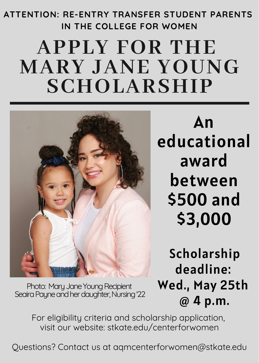## **APPLY FOR THE ATTENTION: RE-ENTRY TRANSFER STUDENT PARENTS IN THE COLLEGE FOR WOMEN**

# **MARY JANE YOUNG SCHOLARSHIP**



An educational award between \$500 and \$3,000

Scholarship deadline: Wed., May 25th @ 4 p.m.

Photo: Mary Jane Young Recipient Seaira Payne and her daughter, Nursing '22

> For eligibility criteria and scholarship application, visit our website: stkate.edu/centerforwomen

Questions? Contact us at aqmcenterforwomen@stkate.edu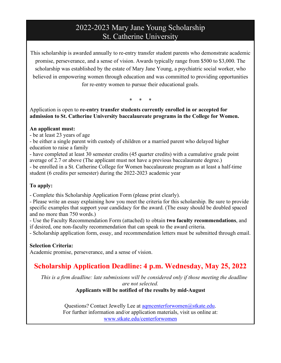## 2022-2023 Mary Jane Young Scholarship St. Catherine University

This scholarship is awarded annually to re-entry transfer student parents who demonstrate academic promise, perseverance, and a sense of vision. Awards typically range from \$500 to \$3,000. The scholarship was established by the estate of Mary Jane Young, a psychiatric social worker, who believed in empowering women through education and was committed to providing opportunities for re-entry women to pursue their educational goals.

\* \* \*

Application is open to **re-entry transfer students currently enrolled in or accepted for admission to St. Catherine University baccalaureate programs in the College for Women.** 

#### **An applicant must:**

- be at least 23 years of age

- be either a single parent with custody of children or a married parent who delayed higher education to raise a family

- have completed at least 30 semester credits (45 quarter credits) with a cumulative grade point average of 2.7 or above (The applicant must not have a previous baccalaureate degree.) - be enrolled in a St. Catherine College for Women baccalaureate program as at least a half-time student (6 credits per semester) during the 2022-2023 academic year

#### **To apply:**

- Complete this Scholarship Application Form (please print clearly).

- Please write an essay explaining how you meet the criteria for this scholarship. Be sure to provide specific examples that support your candidacy for the award. (The essay should be doubled spaced and no more than 750 words.)

- Use the Faculty Recommendation Form (attached) to obtain **two faculty recommendations**, and if desired, one non-faculty recommendation that can speak to the award criteria.

- Scholarship application form, essay, and recommendation letters must be submitted through email.

#### **Selection Criteria:**

Academic promise, perseverance, and a sense of vision.

## **Scholarship Application Deadline: 4 p.m. Wednesday, May 25, 2022**

*This is a firm deadline: late submissions will be considered only if those meeting the deadline are not selected.*

#### **Applicants will be notified of the results by mid-August**

Questions? Contact Jewelly Lee at [aqmcenterforwomen@stkate.edu.](mailto:aqmcenterforwomen@stkate.edu) For further information and/or application materials, visit us online at: [www.stkate.edu/centerforwomen](http://www.stkate.edu/centerforwomen)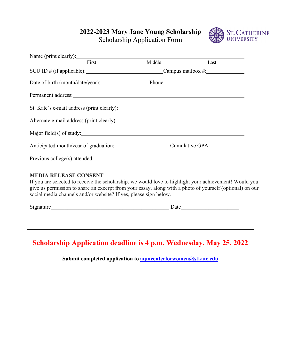**2022-2023 Mary Jane Young Scholarship**



Scholarship Application Form

| Name (print clearly):                                                                                                                                                                                                                                                                                                                                                                    |        |      |  |
|------------------------------------------------------------------------------------------------------------------------------------------------------------------------------------------------------------------------------------------------------------------------------------------------------------------------------------------------------------------------------------------|--------|------|--|
| First                                                                                                                                                                                                                                                                                                                                                                                    | Middle | Last |  |
| SCU ID # (if applicable): Campus mailbox #:                                                                                                                                                                                                                                                                                                                                              |        |      |  |
| Date of birth (month/date/year): Phone: Phone:                                                                                                                                                                                                                                                                                                                                           |        |      |  |
| Permanent address: No. 1997 and 2008 and 2008 and 2008 and 2008 and 2008 and 2008 and 2008 and 2008 and 2008 and 2008 and 2008 and 2008 and 2008 and 2008 and 2008 and 2008 and 2008 and 2008 and 2008 and 2008 and 2008 and 2                                                                                                                                                           |        |      |  |
| St. Kate's e-mail address (print clearly):                                                                                                                                                                                                                                                                                                                                               |        |      |  |
|                                                                                                                                                                                                                                                                                                                                                                                          |        |      |  |
| Major field(s) of study: $\qquad \qquad$ $\qquad \qquad$ $\qquad \qquad$ $\qquad \qquad$ $\qquad \qquad$ $\qquad \qquad$ $\qquad \qquad$ $\qquad \qquad$ $\qquad \qquad$ $\qquad \qquad$ $\qquad \qquad$ $\qquad \qquad$ $\qquad \qquad$ $\qquad \qquad$ $\qquad \qquad$ $\qquad \qquad$ $\qquad \qquad$ $\qquad \qquad$ $\qquad \qquad$ $\qquad \qquad$ $\qquad \qquad$ $\qquad \qquad$ |        |      |  |
| Anticipated month/year of graduation: Cumulative GPA:                                                                                                                                                                                                                                                                                                                                    |        |      |  |
| Previous college(s) attended:                                                                                                                                                                                                                                                                                                                                                            |        |      |  |

#### **MEDIA RELEASE CONSENT**

If you are selected to receive the scholarship, we would love to highlight your achievement! Would you give us permission to share an excerpt from your essay, along with a photo of yourself (optional) on our social media channels and/or website? If yes, please sign below.

Signature Date

## **Scholarship Application deadline is 4 p.m. Wednesday, May 25, 2022**

#### **Submit completed application to [aqmcenterforwomen@stkate.edu](mailto:aqmcenterforwomen@stkate.edu)**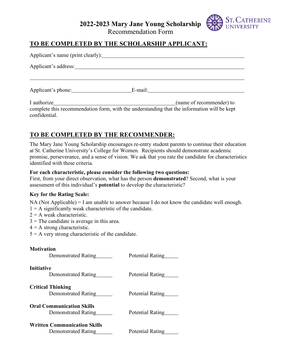## **2022-2023 Mary Jane Young Scholarship**



Recommendation Form

#### **TO BE COMPLETED BY THE SCHOLARSHIP APPLICANT:**

| Applicant's name (print clearly): |                                                                                                                         |  |  |  |
|-----------------------------------|-------------------------------------------------------------------------------------------------------------------------|--|--|--|
| Applicant's address:              |                                                                                                                         |  |  |  |
|                                   |                                                                                                                         |  |  |  |
| Applicant's phone:                |                                                                                                                         |  |  |  |
| I authorize                       | (name of recommender) to<br>complete this recommendation form, with the understanding that the information will be kept |  |  |  |

### **TO BE COMPLETED BY THE RECOMMENDER:**

The Mary Jane Young Scholarship encourages re-entry student parents to continue their education at St. Catherine University's College for Women. Recipients should demonstrate academic promise, perseverance, and a sense of vision. We ask that you rate the candidate for characteristics identified with these criteria.

#### **For each characteristic, please consider the following two questions:**

First, from your direct observation, what has the person **demonstrated**? Second, what is your assessment of this individual's **potential** to develop the characteristic?

#### **Key for the Rating Scale:**

NA (Not Applicable) = I am unable to answer because I do not know the candidate well enough.

 $1 = A$  significantly weak characteristic of the candidate.

- $2 = A$  weak characteristic.
- $3$  = The candidate is average in this area.
- $4 = A$  strong characteristic.
- $5 = A$  very strong characteristic of the candidate.

#### **Motivation**

confidential.

| Demonstrated Rating                                        | Potential Rating |
|------------------------------------------------------------|------------------|
| <b>Initiative</b><br>Demonstrated Rating                   | Potential Rating |
| <b>Critical Thinking</b><br>Demonstrated Rating            | Potential Rating |
| <b>Oral Communication Skills</b><br>Demonstrated Rating    | Potential Rating |
| <b>Written Communication Skills</b><br>Demonstrated Rating | Potential Rating |